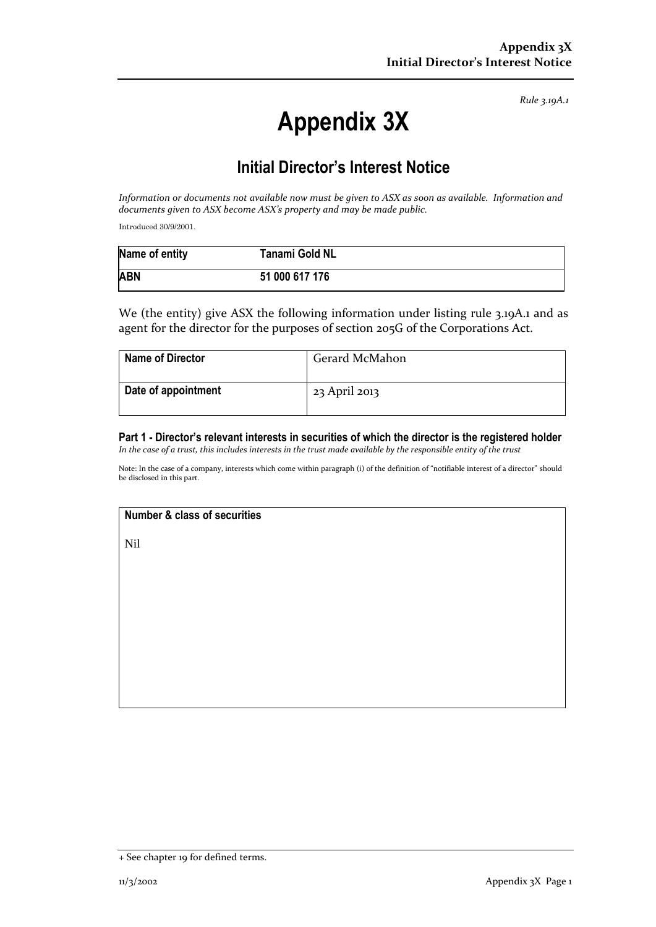*Rule 3.19A.1*

# **Appendix 3X**

## **Initial Director's Interest Notice**

*Information or documents not available now must be given to ASX as soon as available. Information and documents given to ASX become ASX's property and may be made public.*

Introduced 30/9/2001.

| Name of entity | Tanami Gold NL |
|----------------|----------------|
| <b>ABN</b>     | 51 000 617 176 |

We (the entity) give ASX the following information under listing rule 3.19A.1 and as agent for the director for the purposes of section 205G of the Corporations Act.

| <b>Name of Director</b> | Gerard McMahon |
|-------------------------|----------------|
| Date of appointment     | 23 April 2013  |

#### **Part 1 - Director's relevant interests in securities of which the director is the registered holder** *In the case of a trust, this includes interests in the trust made available by the responsible entity of the trust*

Note: In the case of a company, interests which come within paragraph (i) of the definition of "notifiable interest of a director" should be disclosed in this part.

### **Number & class of securities**

Nil

<sup>+</sup> See chapter 19 for defined terms.